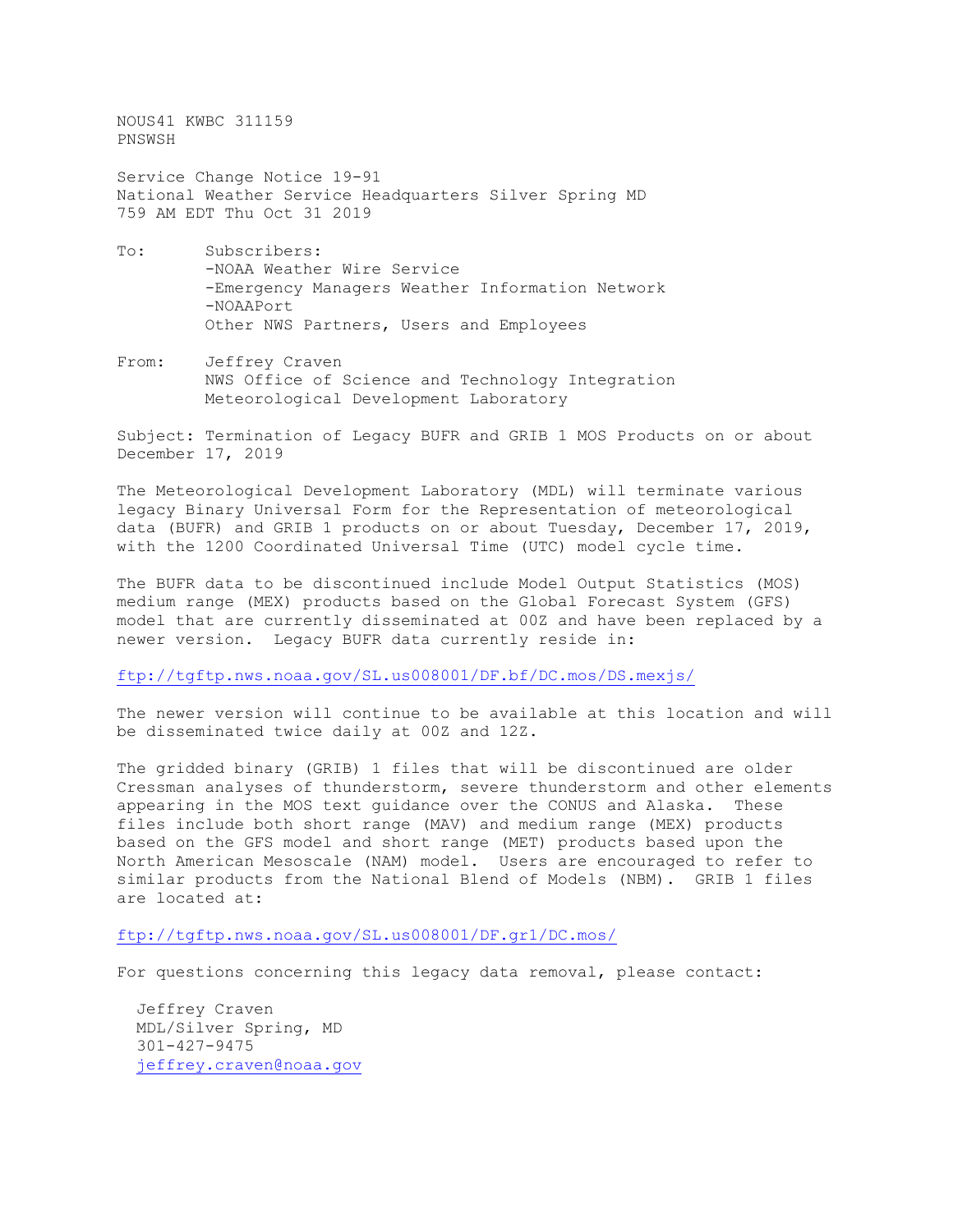NOUS41 KWBC 311159 PNSWSH

Service Change Notice 19-91 National Weather Service Headquarters Silver Spring MD 759 AM EDT Thu Oct 31 2019

- To: Subscribers: -NOAA Weather Wire Service -Emergency Managers Weather Information Network -NOAAPort Other NWS Partners, Users and Employees
- From: Jeffrey Craven NWS Office of Science and Technology Integration Meteorological Development Laboratory

Subject: Termination of Legacy BUFR and GRIB 1 MOS Products on or about December 17, 2019

The Meteorological Development Laboratory (MDL) will terminate various legacy Binary Universal Form for the Representation of meteorological data (BUFR) and GRIB 1 products on or about Tuesday, December 17, 2019, with the 1200 Coordinated Universal Time (UTC) model cycle time.

The BUFR data to be discontinued include Model Output Statistics (MOS) medium range (MEX) products based on the Global Forecast System (GFS) model that are currently disseminated at 00Z and have been replaced by a newer version. Legacy BUFR data currently reside in:

<ftp://tgftp.nws.noaa.gov/SL.us008001/DF.bf/DC.mos/DS.mexjs/>

The newer version will continue to be available at this location and will be disseminated twice daily at 00Z and 12Z.

The gridded binary (GRIB) 1 files that will be discontinued are older Cressman analyses of thunderstorm, severe thunderstorm and other elements appearing in the MOS text guidance over the CONUS and Alaska. These files include both short range (MAV) and medium range (MEX) products based on the GFS model and short range (MET) products based upon the North American Mesoscale (NAM) model. Users are encouraged to refer to similar products from the National Blend of Models (NBM). GRIB 1 files are located at:

<ftp://tgftp.nws.noaa.gov/SL.us008001/DF.gr1/DC.mos/>

For questions concerning this legacy data removal, please contact:

 Jeffrey Craven MDL/Silver Spring, MD 301-427-9475 [jeffrey.craven@noaa.gov](mailto:jeffrey.craven@noaa.gov)